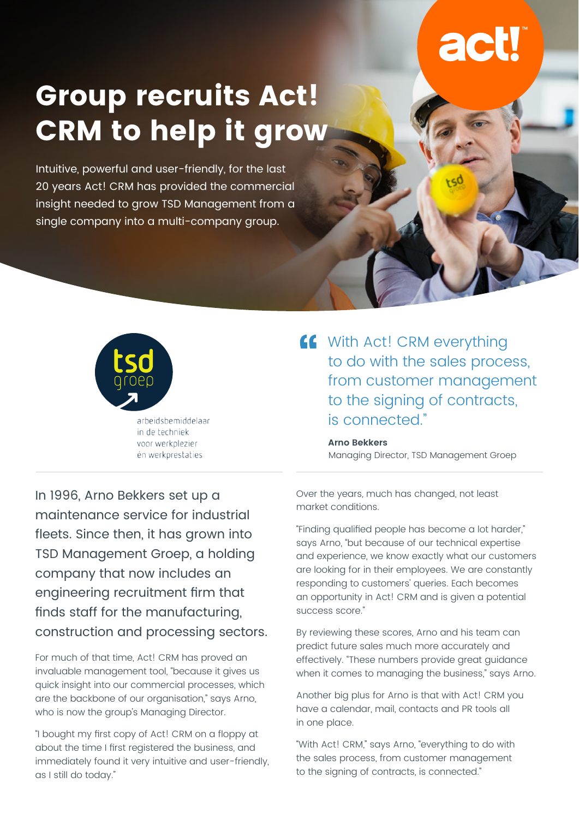# **Group recruits Act! CRM to help it grow**

Intuitive, powerful and user-friendly, for the last 20 years Act! CRM has provided the commercial insight needed to grow TSD Management from a single company into a multi-company group.



arbeidsbemiddelaar in de techniek voor werkplezier én werkprestaties

**16** With Act! CRM everything to do with the sales process, from customer management to the signing of contracts, is connected."

> **Arno Bekkers** Managing Director, TSD Management Groep

In 1996, Arno Bekkers set up a maintenance service for industrial fleets. Since then, it has grown into TSD Management Groep, a holding company that now includes an engineering recruitment firm that finds staff for the manufacturing, construction and processing sectors.

For much of that time, Act! CRM has proved an invaluable management tool, "because it gives us quick insight into our commercial processes, which are the backbone of our organisation," says Arno, who is now the group's Managing Director.

"I bought my first copy of Act! CRM on a floppy at about the time I first registered the business, and immediately found it very intuitive and user-friendly, as I still do today."

Over the years, much has changed, not least market conditions.

"Finding qualified people has become a lot harder," says Arno, "but because of our technical expertise and experience, we know exactly what our customers are looking for in their employees. We are constantly responding to customers' queries. Each becomes an opportunity in Act! CRM and is given a potential success score."

By reviewing these scores, Arno and his team can predict future sales much more accurately and effectively. "These numbers provide great guidance when it comes to managing the business," says Arno.

Another big plus for Arno is that with Act! CRM you have a calendar, mail, contacts and PR tools all in one place.

"With Act! CRM," says Arno, "everything to do with the sales process, from customer management to the signing of contracts, is connected."